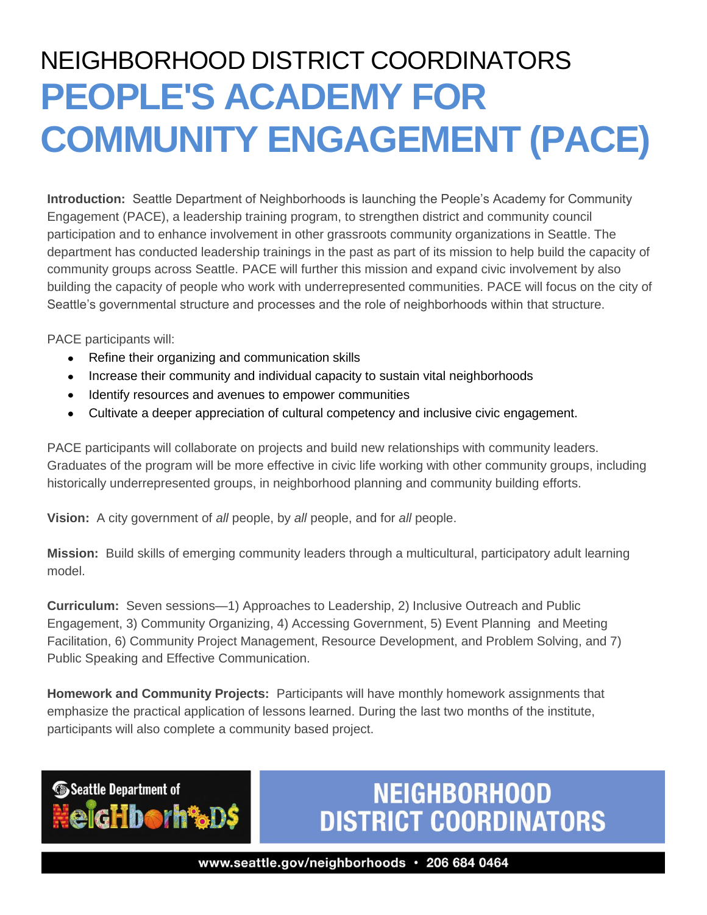## NEIGHBORHOOD DISTRICT COORDINATORS **PEOPLE'S ACADEMY FOR COMMUNITY ENGAGEMENT (PACE)**

**Introduction:** Seattle Department of Neighborhoods is launching the People's Academy for Community Engagement (PACE), a leadership training program, to strengthen district and community council participation and to enhance involvement in other grassroots community organizations in Seattle. The department has conducted leadership trainings in the past as part of its mission to help build the capacity of community groups across Seattle. PACE will further this mission and expand civic involvement by also building the capacity of people who work with underrepresented communities. PACE will focus on the city of Seattle's governmental structure and processes and the role of neighborhoods within that structure.

PACE participants will:

Seattle Department of

igHborh%D\$

- Refine their organizing and communication skills
- Increase their community and individual capacity to sustain vital neighborhoods
- Identify resources and avenues to empower communities
- Cultivate a deeper appreciation of cultural competency and inclusive civic engagement.

PACE participants will collaborate on projects and build new relationships with community leaders. Graduates of the program will be more effective in civic life working with other community groups, including historically underrepresented groups, in neighborhood planning and community building efforts.

**Vision:** A city government of *all* people, by *all* people, and for *all* people.

**Mission:** Build skills of emerging community leaders through a multicultural, participatory adult learning model.

**Curriculum:** Seven sessions—1) Approaches to Leadership, 2) Inclusive Outreach and Public Engagement, 3) Community Organizing, 4) Accessing Government, 5) Event Planning and Meeting Facilitation, 6) Community Project Management, Resource Development, and Problem Solving, and 7) Public Speaking and Effective Communication.

**Homework and Community Projects:** Participants will have monthly homework assignments that emphasize the practical application of lessons learned. During the last two months of the institute, participants will also complete a community based project.

### **NEIGHBORHOOD DISTRICT COORDINATORS**

www.seattle.gov/neighborhoods · 206 684 0464